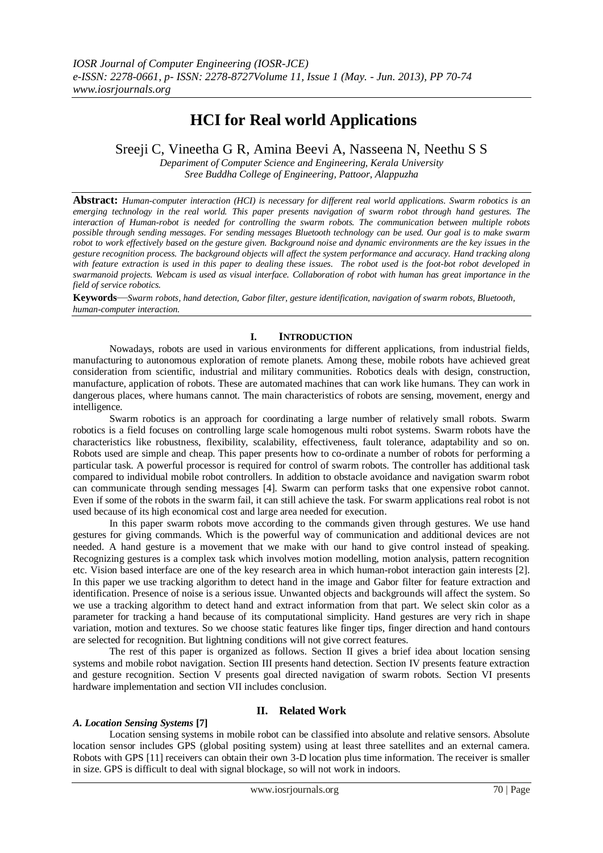# **HCI for Real world Applications**

Sreeji C, Vineetha G R, Amina Beevi A, Nasseena N, Neethu S S

*Depariment of Computer Science and Engineering, Kerala University Sree Buddha College of Engineering, Pattoor, Alappuzha*

**Abstract:** *Human-computer interaction (HCI) is necessary for different real world applications. Swarm robotics is an emerging technology in the real world. This paper presents navigation of swarm robot through hand gestures. The interaction of Human-robot is needed for controlling the swarm robots. The communication between multiple robots possible through sending messages. For sending messages Bluetooth technology can be used. Our goal is to make swarm robot to work effectively based on the gesture given. Background noise and dynamic environments are the key issues in the gesture recognition process. The background objects will affect the system performance and accuracy. Hand tracking along with feature extraction is used in this paper to dealing these issues. The robot used is the foot-bot robot developed in swarmanoid projects. Webcam is used as visual interface. Collaboration of robot with human has great importance in the field of service robotics.*

**Keywords***—Swarm robots, hand detection, Gabor filter, gesture identification, navigation of swarm robots, Bluetooth, human-computer interaction.*

## **I. INTRODUCTION**

 Nowadays, robots are used in various environments for different applications, from industrial fields, manufacturing to autonomous exploration of remote planets. Among these, mobile robots have achieved great consideration from scientific, industrial and military communities. Robotics deals with design, construction, manufacture, application of robots. These are automated machines that can work like humans. They can work in dangerous places, where humans cannot. The main characteristics of robots are sensing, movement, energy and intelligence.

Swarm robotics is an approach for coordinating a large number of relatively small robots. Swarm robotics is a field focuses on controlling large scale homogenous multi robot systems. Swarm robots have the characteristics like robustness, flexibility, scalability, effectiveness, fault tolerance, adaptability and so on. Robots used are simple and cheap. This paper presents how to co-ordinate a number of robots for performing a particular task. A powerful processor is required for control of swarm robots. The controller has additional task compared to individual mobile robot controllers. In addition to obstacle avoidance and navigation swarm robot can communicate through sending messages [4]. Swarm can perform tasks that one expensive robot cannot. Even if some of the robots in the swarm fail, it can still achieve the task. For swarm applications real robot is not used because of its high economical cost and large area needed for execution.

In this paper swarm robots move according to the commands given through gestures. We use hand gestures for giving commands. Which is the powerful way of communication and additional devices are not needed. A hand gesture is a movement that we make with our hand to give control instead of speaking. Recognizing gestures is a complex task which involves motion modelling, motion analysis, pattern recognition etc. Vision based interface are one of the key research area in which human-robot interaction gain interests [2]. In this paper we use tracking algorithm to detect hand in the image and Gabor filter for feature extraction and identification. Presence of noise is a serious issue. Unwanted objects and backgrounds will affect the system. So we use a tracking algorithm to detect hand and extract information from that part. We select skin color as a parameter for tracking a hand because of its computational simplicity. Hand gestures are very rich in shape variation, motion and textures. So we choose static features like finger tips, finger direction and hand contours are selected for recognition. But lightning conditions will not give correct features.

The rest of this paper is organized as follows. Section II gives a brief idea about location sensing systems and mobile robot navigation. Section III presents hand detection. Section IV presents feature extraction and gesture recognition. Section V presents goal directed navigation of swarm robots. Section VI presents hardware implementation and section VII includes conclusion.

### **II. Related Work**

### *A. Location Sensing Systems* **[7]**

Location sensing systems in mobile robot can be classified into absolute and relative sensors. Absolute location sensor includes GPS (global positing system) using at least three satellites and an external camera. Robots with GPS [11] receivers can obtain their own 3-D location plus time information. The receiver is smaller in size. GPS is difficult to deal with signal blockage, so will not work in indoors.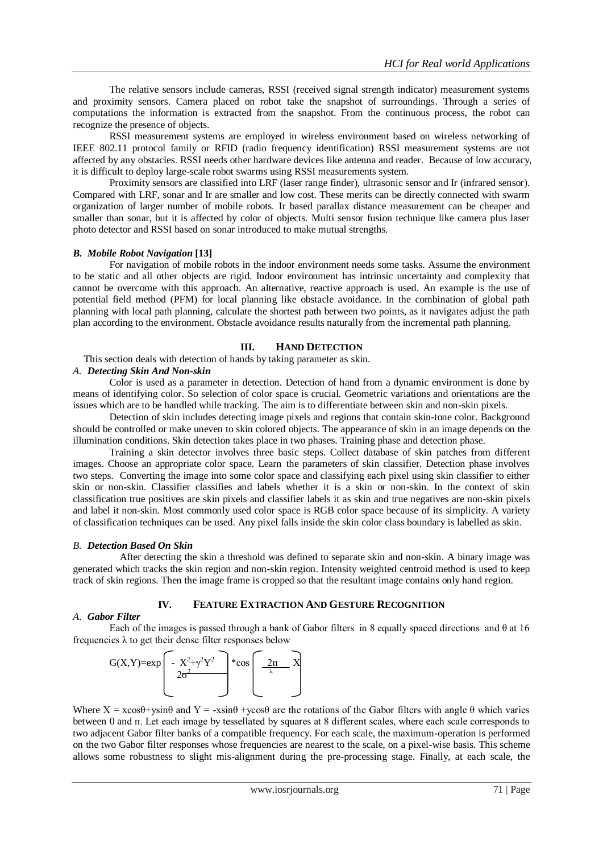The relative sensors include cameras, RSSI (received signal strength indicator) measurement systems and proximity sensors. Camera placed on robot take the snapshot of surroundings. Through a series of computations the information is extracted from the snapshot. From the continuous process, the robot can recognize the presence of objects.

RSSI measurement systems are employed in wireless environment based on wireless networking of IEEE 802.11 protocol family or RFID (radio frequency identification) RSSI measurement systems are not affected by any obstacles. RSSI needs other hardware devices like antenna and reader. Because of low accuracy, it is difficult to deploy large-scale robot swarms using RSSI measurements system.

Proximity sensors are classified into LRF (laser range finder), ultrasonic sensor and Ir (infrared sensor). Compared with LRF, sonar and Ir are smaller and low cost. These merits can be directly connected with swarm organization of larger number of mobile robots. Ir based parallax distance measurement can be cheaper and smaller than sonar, but it is affected by color of objects. Multi sensor fusion technique like camera plus laser photo detector and RSSI based on sonar introduced to make mutual strengths.

### *B. Mobile Robot Navigation* **[13]**

For navigation of mobile robots in the indoor environment needs some tasks. Assume the environment to be static and all other objects are rigid. Indoor environment has intrinsic uncertainty and complexity that cannot be overcome with this approach. An alternative, reactive approach is used. An example is the use of potential field method (PFM) for local planning like obstacle avoidance. In the combination of global path planning with local path planning, calculate the shortest path between two points, as it navigates adjust the path plan according to the environment. Obstacle avoidance results naturally from the incremental path planning.

## **III. HAND DETECTION**

This section deals with detection of hands by taking parameter as skin.

# *A. Detecting Skin And Non-skin*

Color is used as a parameter in detection. Detection of hand from a dynamic environment is done by means of identifying color. So selection of color space is crucial. Geometric variations and orientations are the issues which are to be handled while tracking. The aim is to differentiate between skin and non-skin pixels.

Detection of skin includes detecting image pixels and regions that contain skin-tone color. Background should be controlled or make uneven to skin colored objects. The appearance of skin in an image depends on the illumination conditions. Skin detection takes place in two phases. Training phase and detection phase.

Training a skin detector involves three basic steps. Collect database of skin patches from different images. Choose an appropriate color space. Learn the parameters of skin classifier. Detection phase involves two steps. Converting the image into some color space and classifying each pixel using skin classifier to either skin or non-skin. Classifier classifies and labels whether it is a skin or non-skin. In the context of skin classification true positives are skin pixels and classifier labels it as skin and true negatives are non-skin pixels and label it non-skin. Most commonly used color space is RGB color space because of its simplicity. A variety of classification techniques can be used. Any pixel falls inside the skin color class boundary is labelled as skin.

### *B. Detection Based On Skin*

After detecting the skin a threshold was defined to separate skin and non-skin. A binary image was generated which tracks the skin region and non-skin region. Intensity weighted centroid method is used to keep track of skin regions. Then the image frame is cropped so that the resultant image contains only hand region.

## **IV. FEATURE EXTRACTION AND GESTURE RECOGNITION**

### *A. Gabor Filter*

Each of the images is passed through a bank of Gabor filters in 8 equally spaced directions and θ at 16 frequencies  $\lambda$  to get their dense filter responses below



Where  $X = x\cos\theta + y\sin\theta$  and  $Y = -x\sin\theta + y\cos\theta$  are the rotations of the Gabor filters with angle  $\theta$  which varies between 0 and п. Let each image by tessellated by squares at 8 different scales, where each scale corresponds to two adjacent Gabor filter banks of a compatible frequency. For each scale, the maximum-operation is performed on the two Gabor filter responses whose frequencies are nearest to the scale, on a pixel-wise basis. This scheme allows some robustness to slight mis-alignment during the pre-processing stage. Finally, at each scale, the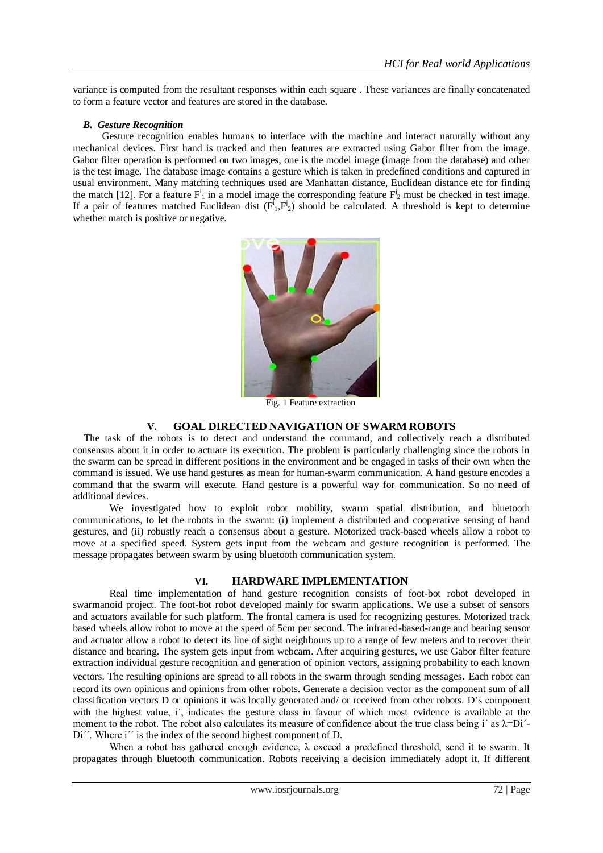variance is computed from the resultant responses within each square . These variances are finally concatenated to form a feature vector and features are stored in the database.

## *B. Gesture Recognition*

Gesture recognition enables humans to interface with the machine and interact naturally without any mechanical devices. First hand is tracked and then features are extracted using Gabor filter from the image. Gabor filter operation is performed on two images, one is the model image (image from the database) and other is the test image. The database image contains a gesture which is taken in predefined conditions and captured in usual environment. Many matching techniques used are Manhattan distance, Euclidean distance etc for finding the match [12]. For a feature  $F_1^i$  in a model image the corresponding feature  $F_2^i$  must be checked in test image. If a pair of features matched Euclidean dist  $(\vec{F}_1, \vec{F}_2)$  should be calculated. A threshold is kept to determine whether match is positive or negative.



Fig. 1 Feature extraction

## **V. GOAL DIRECTED NAVIGATION OF SWARM ROBOTS**

The task of the robots is to detect and understand the command, and collectively reach a distributed consensus about it in order to actuate its execution. The problem is particularly challenging since the robots in the swarm can be spread in different positions in the environment and be engaged in tasks of their own when the command is issued. We use hand gestures as mean for human-swarm communication. A hand gesture encodes a command that the swarm will execute. Hand gesture is a powerful way for communication. So no need of additional devices.

We investigated how to exploit robot mobility, swarm spatial distribution, and bluetooth communications, to let the robots in the swarm: (i) implement a distributed and cooperative sensing of hand gestures, and (ii) robustly reach a consensus about a gesture. Motorized track-based wheels allow a robot to move at a specified speed. System gets input from the webcam and gesture recognition is performed. The message propagates between swarm by using bluetooth communication system.

# **VI. HARDWARE IMPLEMENTATION**

Real time implementation of hand gesture recognition consists of foot-bot robot developed in swarmanoid project. The foot-bot robot developed mainly for swarm applications. We use a subset of sensors and actuators available for such platform. The frontal camera is used for recognizing gestures. Motorized track based wheels allow robot to move at the speed of 5cm per second. The infrared-based-range and bearing sensor and actuator allow a robot to detect its line of sight neighbours up to a range of few meters and to recover their distance and bearing. The system gets input from webcam. After acquiring gestures, we use Gabor filter feature extraction individual gesture recognition and generation of opinion vectors, assigning probability to each known vectors. The resulting opinions are spread to all robots in the swarm through sending messages. Each robot can record its own opinions and opinions from other robots. Generate a decision vector as the component sum of all classification vectors D or opinions it was locally generated and/ or received from other robots. D's component with the highest value, i΄, indicates the gesture class in favour of which most evidence is available at the moment to the robot. The robot also calculates its measure of confidence about the true class being i' as  $\lambda = Di'$ -Di''. Where i'' is the index of the second highest component of D.

When a robot has gathered enough evidence,  $\lambda$  exceed a predefined threshold, send it to swarm. It propagates through bluetooth communication. Robots receiving a decision immediately adopt it. If different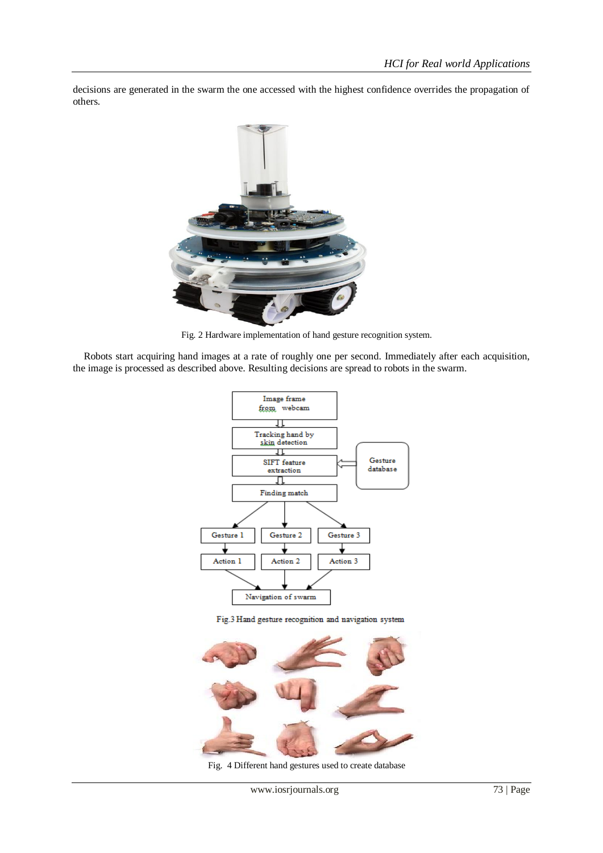decisions are generated in the swarm the one accessed with the highest confidence overrides the propagation of others.



Fig. 2 Hardware implementation of hand gesture recognition system.

Robots start acquiring hand images at a rate of roughly one per second. Immediately after each acquisition, the image is processed as described above. Resulting decisions are spread to robots in the swarm.



Fig.3 Hand gesture recognition and navigation system



Fig. 4 Different hand gestures used to create database